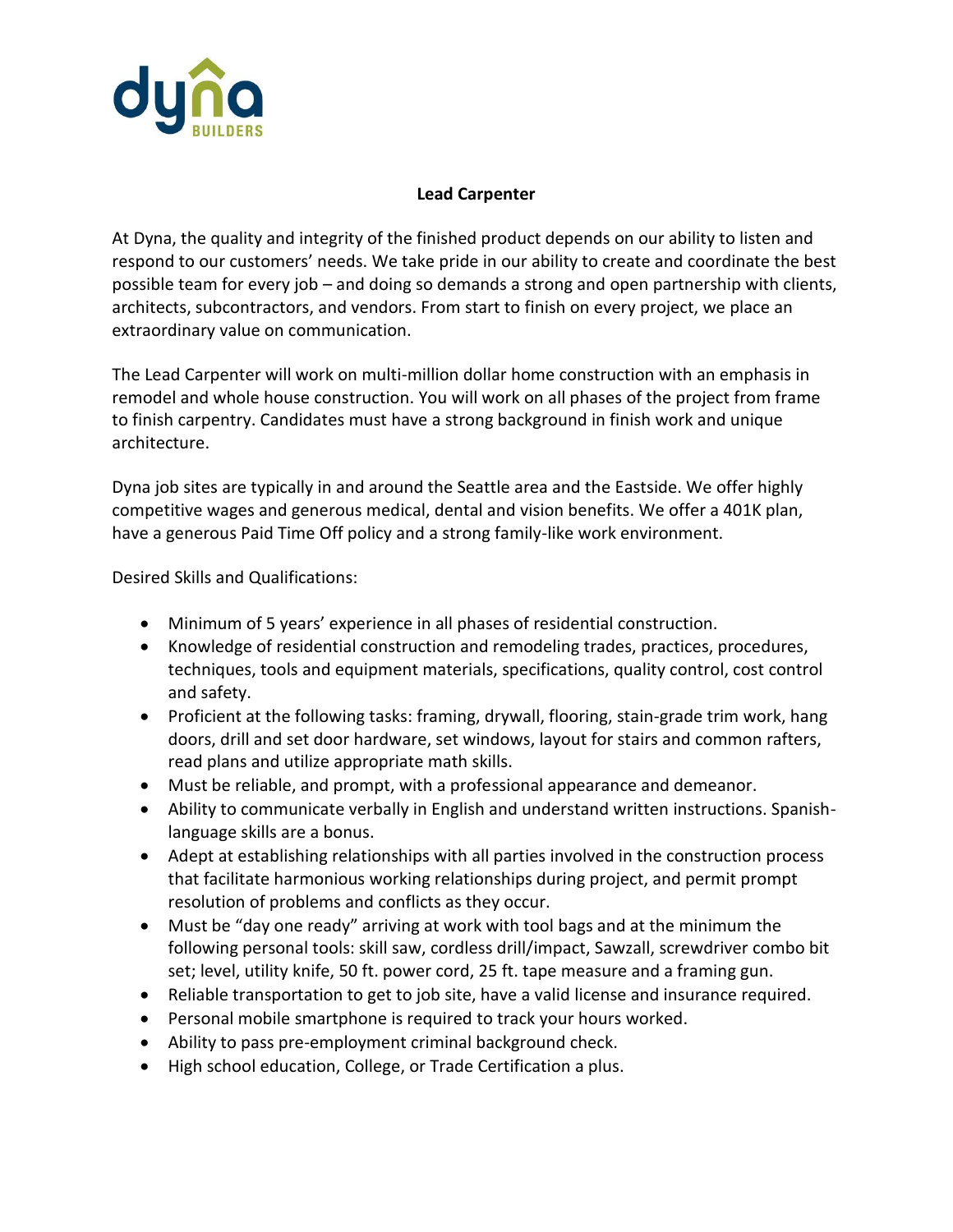

## **Lead Carpenter**

At Dyna, the quality and integrity of the finished product depends on our ability to listen and respond to our customers' needs. We take pride in our ability to create and coordinate the best possible team for every job – and doing so demands a strong and open partnership with clients, architects, subcontractors, and vendors. From start to finish on every project, we place an extraordinary value on communication.

The Lead Carpenter will work on multi-million dollar home construction with an emphasis in remodel and whole house construction. You will work on all phases of the project from frame to finish carpentry. Candidates must have a strong background in finish work and unique architecture.

Dyna job sites are typically in and around the Seattle area and the Eastside. We offer highly competitive wages and generous medical, dental and vision benefits. We offer a 401K plan, have a generous Paid Time Off policy and a strong family-like work environment.

Desired Skills and Qualifications:

- Minimum of 5 years' experience in all phases of residential construction.
- Knowledge of residential construction and remodeling trades, practices, procedures, techniques, tools and equipment materials, specifications, quality control, cost control and safety.
- Proficient at the following tasks: framing, drywall, flooring, stain-grade trim work, hang doors, drill and set door hardware, set windows, layout for stairs and common rafters, read plans and utilize appropriate math skills.
- Must be reliable, and prompt, with a professional appearance and demeanor.
- Ability to communicate verbally in English and understand written instructions. Spanishlanguage skills are a bonus.
- Adept at establishing relationships with all parties involved in the construction process that facilitate harmonious working relationships during project, and permit prompt resolution of problems and conflicts as they occur.
- Must be "day one ready" arriving at work with tool bags and at the minimum the following personal tools: skill saw, cordless drill/impact, Sawzall, screwdriver combo bit set; level, utility knife, 50 ft. power cord, 25 ft. tape measure and a framing gun.
- Reliable transportation to get to job site, have a valid license and insurance required.
- Personal mobile smartphone is required to track your hours worked.
- Ability to pass pre-employment criminal background check.
- High school education, College, or Trade Certification a plus.